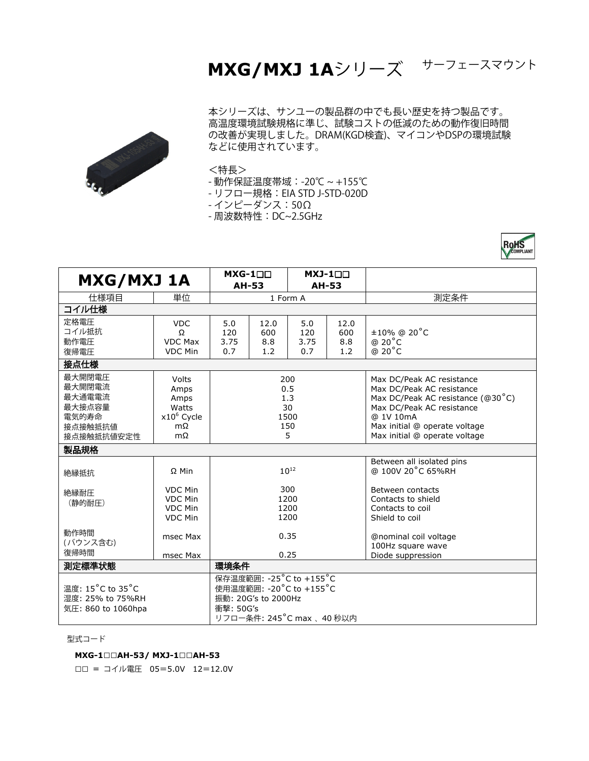## **MXG/MXJ 1A**シリーズ <sup>サーフェースマウント</sup>

ROHS



本シリーズは、サンユーの製品群の中でも長い歴史を持つ製品です。 高温度環境試験規格に準じ、試験コストの低減のための動作復旧時間 の改善が実現しました。DRAM(KGD検査)、マイコンやDSPの環境試験 などに使用されています。

## <特長>

- 動作保証温度帯域:-20℃ ~ +155℃
- リフロー規格: EIA STD J-STD-020D
- インピーダンス:50Ω

- 周波数特性:DC~2.5GHz

| <b>MXG/MXJ 1A</b>  |                | $MXG-1\square\square$    |      | $MXJ-1\square\square$ |      |                                        |
|--------------------|----------------|--------------------------|------|-----------------------|------|----------------------------------------|
|                    |                | <b>AH-53</b>             |      | <b>AH-53</b>          |      |                                        |
| 仕様項目               | 単位             | 1 Form A                 |      |                       |      | 測定条件                                   |
| コイル仕様              |                |                          |      |                       |      |                                        |
| 定格雷圧               | <b>VDC</b>     | 5.0                      | 12.0 | 5.0                   | 12.0 |                                        |
| コイル抵抗              | Ω              | 120                      | 600  | 120                   | 600  | $±10\%$ @ 20 $°C$                      |
| 動作電圧               | <b>VDC Max</b> | 3.75                     | 8.8  | 3.75                  | 8.8  | $@ 20^{\circ}C$                        |
| 復帰電圧               | <b>VDC Min</b> | 0.7                      | 1.2  | 0.7                   | 1.2  | @ 20°C                                 |
| 接点仕様               |                |                          |      |                       |      |                                        |
| 最大開閉電圧             | Volts          | 200                      |      |                       |      | Max DC/Peak AC resistance              |
| 最大開閉電流             | Amps           | 0.5                      |      |                       |      | Max DC/Peak AC resistance              |
| 最大通電電流             | Amps           | 1.3                      |      |                       |      | Max DC/Peak AC resistance ( $@30°C$ )  |
| 最大接点容量             | Watts          | 30                       |      |                       |      | Max DC/Peak AC resistance              |
| 雷気的寿命              | $x10^6$ Cycle  | 1500                     |      |                       |      | @ 1V 10mA                              |
| 接点接触抵抗值            | $m\Omega$      | 150                      |      |                       |      | Max initial @ operate voltage          |
| 接点接触抵抗值安定性         | mΩ             | 5                        |      |                       |      | Max initial @ operate voltage          |
| 製品規格               |                |                          |      |                       |      |                                        |
|                    |                | $10^{12}$                |      |                       |      | Between all isolated pins              |
| 絶縁抵抗               | $\Omega$ Min   |                          |      |                       |      | @ 100V 20°C 65%RH                      |
|                    |                |                          |      |                       |      |                                        |
| 絶縁耐圧               | <b>VDC Min</b> | 300                      |      |                       |      | Between contacts                       |
| (静的耐压)             | VDC Min        | 1200<br>1200<br>1200     |      |                       |      | Contacts to shield                     |
|                    | <b>VDC Min</b> |                          |      |                       |      | Contacts to coil                       |
|                    | <b>VDC Min</b> |                          |      |                       |      | Shield to coil                         |
| 動作時間               |                |                          |      |                       |      |                                        |
| (バウンス含む)           | msec Max       | 0.35                     |      |                       |      | @nominal coil voltage                  |
| 復帰時間               | msec Max       | 0.25                     |      |                       |      | 100Hz square wave<br>Diode suppression |
| 測定標準状態             |                | 環境条件                     |      |                       |      |                                        |
|                    |                |                          |      |                       |      |                                        |
|                    |                | 保存温度範囲: -25°C to +155°C  |      |                       |      |                                        |
| 温度: 15°C to 35°C   |                | 使用温度範囲: -20°C to +155°C  |      |                       |      |                                        |
| 湿度: 25% to 75%RH   |                | 振動: 20G's to 2000Hz      |      |                       |      |                                        |
| 気圧: 860 to 1060hpa |                | 衝撃: 50G's                |      |                       |      |                                        |
|                    |                | リフロー条件: 245°C max、40 秒以内 |      |                       |      |                                        |

型式コード

## **MXG-1**□□**AH-53/ MXJ-1**□□**AH-53**

□□ = コイル電圧 <sup>05</sup>=5.0V <sup>12</sup>=12.0V